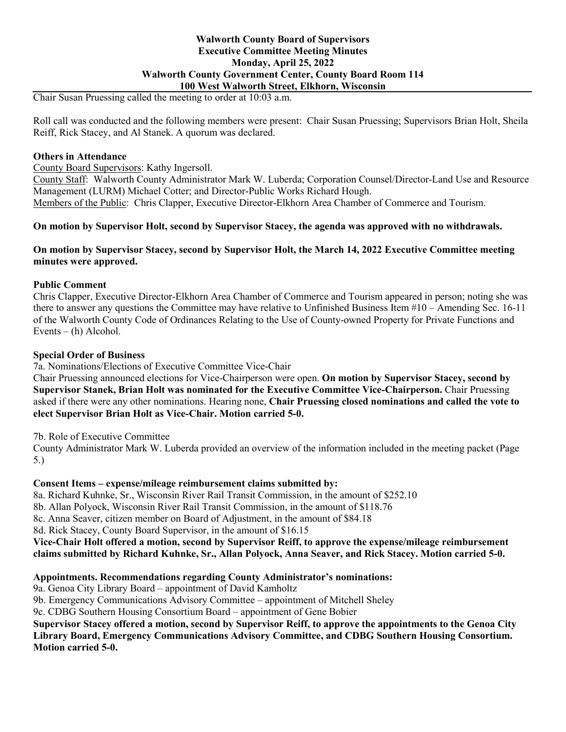### **Walworth County Board of Supervisors Executive Committee Meeting Minutes Monday, April 25, 2022 Walworth County Government Center, County Board Room 114 100 West Walworth Street, Elkhorn, Wisconsin**

Chair Susan Pruessing called the meeting to order at 10:03 a.m.

Roll call was conducted and the following members were present: Chair Susan Pruessing; Supervisors Brian Holt, Sheila Reiff, Rick Stacey, and Al Stanek. A quorum was declared.

### **Others in Attendance**

County Board Supervisors: Kathy Ingersoll.

County Staff: Walworth County Administrator Mark W. Luberda; Corporation Counsel/Director-Land Use and Resource Management (LURM) Michael Cotter; and Director-Public Works Richard Hough. Members of the Public: Chris Clapper, Executive Director-Elkhorn Area Chamber of Commerce and Tourism.

### **On motion by Supervisor Holt, second by Supervisor Stacey, the agenda was approved with no withdrawals.**

# **On motion by Supervisor Stacey, second by Supervisor Holt, the March 14, 2022 Executive Committee meeting minutes were approved.**

### **Public Comment**

Chris Clapper, Executive Director-Elkhorn Area Chamber of Commerce and Tourism appeared in person; noting she was there to answer any questions the Committee may have relative to Unfinished Business Item #10 – Amending Sec. 16-11 of the Walworth County Code of Ordinances Relating to the Use of County-owned Property for Private Functions and Events – (h) Alcohol.

#### **Special Order of Business**

7a. Nominations/Elections of Executive Committee Vice-Chair

Chair Pruessing announced elections for Vice-Chairperson were open. **On motion by Supervisor Stacey, second by Supervisor Stanek, Brian Holt was nominated for the Executive Committee Vice-Chairperson.** Chair Pruessing asked if there were any other nominations. Hearing none, **Chair Pruessing closed nominations and called the vote to elect Supervisor Brian Holt as Vice-Chair. Motion carried 5-0.**

7b. Role of Executive Committee

County Administrator Mark W. Luberda provided an overview of the information included in the meeting packet (Page 5.)

### **Consent Items – expense/mileage reimbursement claims submitted by:**

8a. Richard Kuhnke, Sr., Wisconsin River Rail Transit Commission, in the amount of \$252.10 8b. Allan Polyock, Wisconsin River Rail Transit Commission, in the amount of \$118.76 8c. Anna Seaver, citizen member on Board of Adjustment, in the amount of \$84.18 8d. Rick Stacey, County Board Supervisor, in the amount of \$16.15 **Vice-Chair Holt offered a motion, second by Supervisor Reiff, to approve the expense/mileage reimbursement claims submitted by Richard Kuhnke, Sr., Allan Polyock, Anna Seaver, and Rick Stacey. Motion carried 5-0.**

### **Appointments. Recommendations regarding County Administrator's nominations:**

9a. Genoa City Library Board – appointment of David Kamholtz

9b. Emergency Communications Advisory Committee – appointment of Mitchell Sheley

9c. CDBG Southern Housing Consortium Board – appointment of Gene Bobier

**Supervisor Stacey offered a motion, second by Supervisor Reiff, to approve the appointments to the Genoa City Library Board, Emergency Communications Advisory Committee, and CDBG Southern Housing Consortium. Motion carried 5-0.**